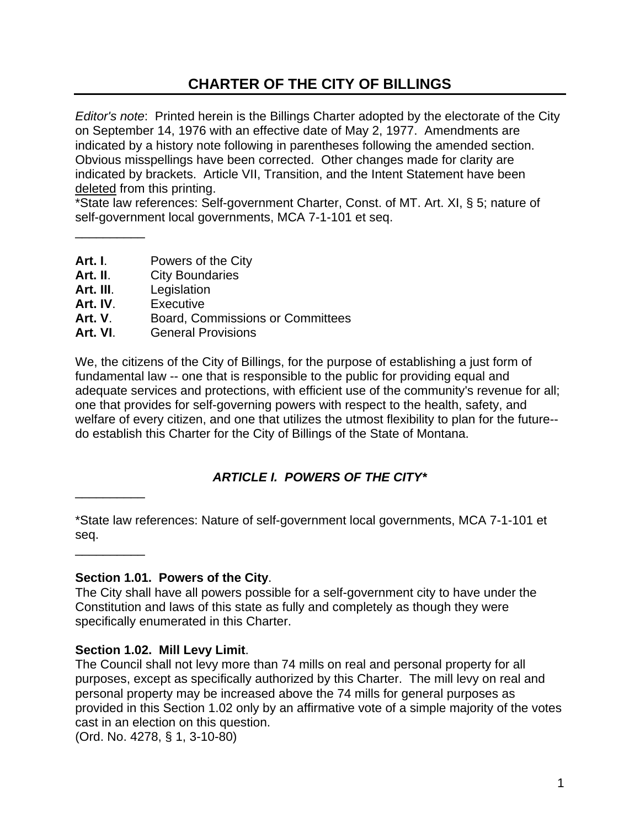# **CHARTER OF THE CITY OF BILLINGS**

*Editor's note*: Printed herein is the Billings Charter adopted by the electorate of the City on September 14, 1976 with an effective date of May 2, 1977. Amendments are indicated by a history note following in parentheses following the amended section. Obvious misspellings have been corrected. Other changes made for clarity are indicated by brackets. Article VII, Transition, and the Intent Statement have been deleted from this printing.

\*State law references: Self-government Charter, Const. of MT. Art. XI, § 5; nature of self-government local governments, MCA 7-1-101 et seq.

- **Art. I**. Powers of the City
- Art. II. City Boundaries
- **Art. III**. Legislation

\_\_\_\_\_\_\_\_\_\_

- **Art. IV**. Executive
- **Art. V**. Board, Commissions or Committees
- **Art. VI**. General Provisions

We, the citizens of the City of Billings, for the purpose of establishing a just form of fundamental law -- one that is responsible to the public for providing equal and adequate services and protections, with efficient use of the community's revenue for all; one that provides for self-governing powers with respect to the health, safety, and welfare of every citizen, and one that utilizes the utmost flexibility to plan for the future- do establish this Charter for the City of Billings of the State of Montana.

## *ARTICLE I. POWERS OF THE CITY\**

\*State law references: Nature of self-government local governments, MCA 7-1-101 et seq.

 $\overline{\phantom{a}}$   $\overline{\phantom{a}}$   $\overline{\phantom{a}}$   $\overline{\phantom{a}}$   $\overline{\phantom{a}}$   $\overline{\phantom{a}}$   $\overline{\phantom{a}}$   $\overline{\phantom{a}}$   $\overline{\phantom{a}}$   $\overline{\phantom{a}}$   $\overline{\phantom{a}}$   $\overline{\phantom{a}}$   $\overline{\phantom{a}}$   $\overline{\phantom{a}}$   $\overline{\phantom{a}}$   $\overline{\phantom{a}}$   $\overline{\phantom{a}}$   $\overline{\phantom{a}}$   $\overline{\$ 

 $\overline{\phantom{a}}$ 

#### **Section 1.01. Powers of the City**.

The City shall have all powers possible for a self-government city to have under the Constitution and laws of this state as fully and completely as though they were specifically enumerated in this Charter.

#### **Section 1.02. Mill Levy Limit**.

The Council shall not levy more than 74 mills on real and personal property for all purposes, except as specifically authorized by this Charter. The mill levy on real and personal property may be increased above the 74 mills for general purposes as provided in this Section 1.02 only by an affirmative vote of a simple majority of the votes cast in an election on this question.

(Ord. No. 4278, § 1, 3-10-80)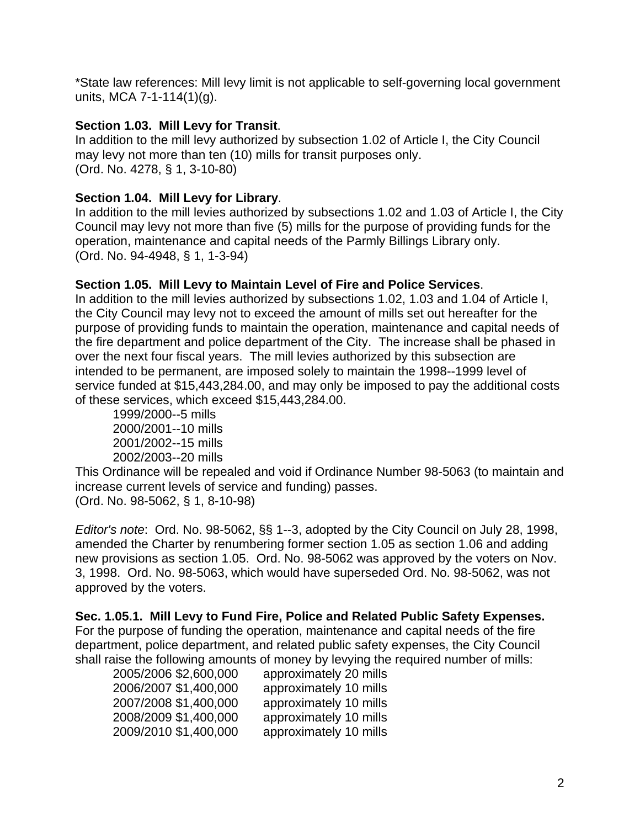\*State law references: Mill levy limit is not applicable to self-governing local government units, MCA 7-1-114(1)(g).

### **Section 1.03. Mill Levy for Transit**.

In addition to the mill levy authorized by subsection 1.02 of Article I, the City Council may levy not more than ten (10) mills for transit purposes only. (Ord. No. 4278, § 1, 3-10-80)

### **Section 1.04. Mill Levy for Library**.

In addition to the mill levies authorized by subsections 1.02 and 1.03 of Article I, the City Council may levy not more than five (5) mills for the purpose of providing funds for the operation, maintenance and capital needs of the Parmly Billings Library only. (Ord. No. 94-4948, § 1, 1-3-94)

### **Section 1.05. Mill Levy to Maintain Level of Fire and Police Services**.

In addition to the mill levies authorized by subsections 1.02, 1.03 and 1.04 of Article I, the City Council may levy not to exceed the amount of mills set out hereafter for the purpose of providing funds to maintain the operation, maintenance and capital needs of the fire department and police department of the City. The increase shall be phased in over the next four fiscal years. The mill levies authorized by this subsection are intended to be permanent, are imposed solely to maintain the 1998--1999 level of service funded at \$15,443,284.00, and may only be imposed to pay the additional costs of these services, which exceed \$15,443,284.00.

1999/2000--5 mills 2000/2001--10 mills 2001/2002--15 mills 2002/2003--20 mills

This Ordinance will be repealed and void if Ordinance Number 98-5063 (to maintain and increase current levels of service and funding) passes. (Ord. No. 98-5062, § 1, 8-10-98)

*Editor's note*: Ord. No. 98-5062, §§ 1--3, adopted by the City Council on July 28, 1998, amended the Charter by renumbering former section 1.05 as section 1.06 and adding new provisions as section 1.05. Ord. No. 98-5062 was approved by the voters on Nov. 3, 1998. Ord. No. 98-5063, which would have superseded Ord. No. 98-5062, was not approved by the voters.

**Sec. 1.05.1. Mill Levy to Fund Fire, Police and Related Public Safety Expenses.**  For the purpose of funding the operation, maintenance and capital needs of the fire department, police department, and related public safety expenses, the City Council shall raise the following amounts of money by levying the required number of mills:

| approximately 20 mills |
|------------------------|
| approximately 10 mills |
| approximately 10 mills |
| approximately 10 mills |
| approximately 10 mills |
|                        |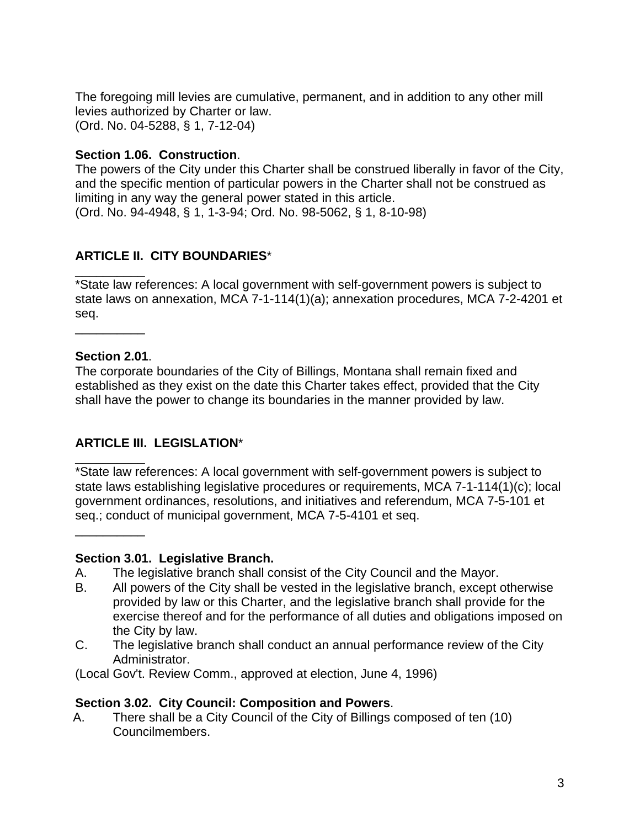The foregoing mill levies are cumulative, permanent, and in addition to any other mill levies authorized by Charter or law. (Ord. No. 04-5288, § 1, 7-12-04)

#### **Section 1.06. Construction**.

The powers of the City under this Charter shall be construed liberally in favor of the City, and the specific mention of particular powers in the Charter shall not be construed as limiting in any way the general power stated in this article. (Ord. No. 94-4948, § 1, 1-3-94; Ord. No. 98-5062, § 1, 8-10-98)

### **ARTICLE II. CITY BOUNDARIES**\*

\_\_\_\_\_\_\_\_\_\_ \*State law references: A local government with self-government powers is subject to state laws on annexation, MCA 7-1-114(1)(a); annexation procedures, MCA 7-2-4201 et seq.

#### **Section 2.01**.

\_\_\_\_\_\_\_\_\_\_

\_\_\_\_\_\_\_\_\_\_

\_\_\_\_\_\_\_\_\_\_

The corporate boundaries of the City of Billings, Montana shall remain fixed and established as they exist on the date this Charter takes effect, provided that the City shall have the power to change its boundaries in the manner provided by law.

### **ARTICLE III. LEGISLATION**\*

\*State law references: A local government with self-government powers is subject to state laws establishing legislative procedures or requirements, MCA 7-1-114(1)(c); local government ordinances, resolutions, and initiatives and referendum, MCA 7-5-101 et seq.; conduct of municipal government, MCA 7-5-4101 et seq.

#### **Section 3.01. Legislative Branch.**

- A. The legislative branch shall consist of the City Council and the Mayor.
- B. All powers of the City shall be vested in the legislative branch, except otherwise provided by law or this Charter, and the legislative branch shall provide for the exercise thereof and for the performance of all duties and obligations imposed on the City by law.
- C. The legislative branch shall conduct an annual performance review of the City Administrator.

(Local Gov't. Review Comm., approved at election, June 4, 1996)

#### **Section 3.02. City Council: Composition and Powers**.

A. There shall be a City Council of the City of Billings composed of ten (10) Councilmembers.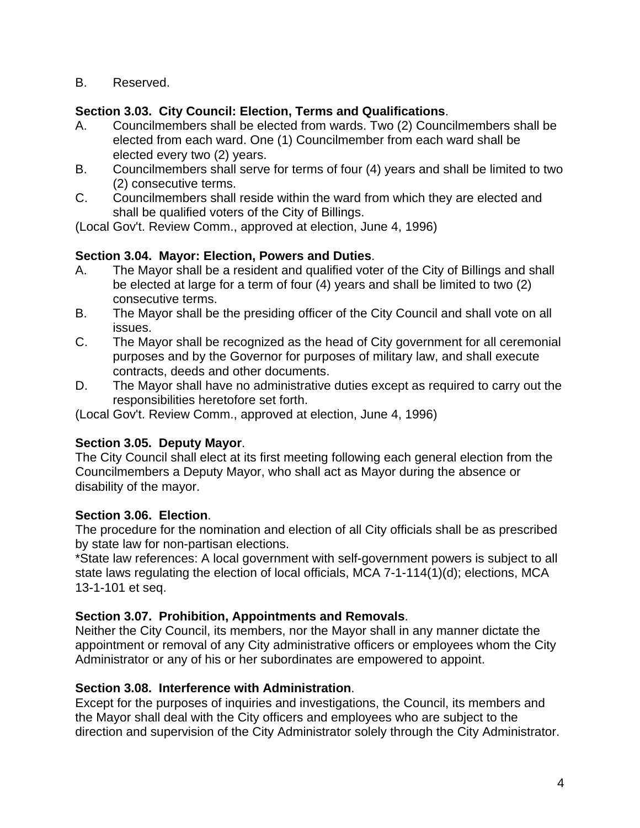B. Reserved.

### **Section 3.03. City Council: Election, Terms and Qualifications**.

- A. Councilmembers shall be elected from wards. Two (2) Councilmembers shall be elected from each ward. One (1) Councilmember from each ward shall be elected every two (2) years.
- B. Councilmembers shall serve for terms of four (4) years and shall be limited to two (2) consecutive terms.
- C. Councilmembers shall reside within the ward from which they are elected and shall be qualified voters of the City of Billings.

(Local Gov't. Review Comm., approved at election, June 4, 1996)

## **Section 3.04. Mayor: Election, Powers and Duties**.

- A. The Mayor shall be a resident and qualified voter of the City of Billings and shall be elected at large for a term of four (4) years and shall be limited to two (2) consecutive terms.
- B. The Mayor shall be the presiding officer of the City Council and shall vote on all issues.
- C. The Mayor shall be recognized as the head of City government for all ceremonial purposes and by the Governor for purposes of military law, and shall execute contracts, deeds and other documents.
- D. The Mayor shall have no administrative duties except as required to carry out the responsibilities heretofore set forth.

(Local Gov't. Review Comm., approved at election, June 4, 1996)

## **Section 3.05. Deputy Mayor**.

The City Council shall elect at its first meeting following each general election from the Councilmembers a Deputy Mayor, who shall act as Mayor during the absence or disability of the mayor.

## **Section 3.06. Election**.

The procedure for the nomination and election of all City officials shall be as prescribed by state law for non-partisan elections.

\*State law references: A local government with self-government powers is subject to all state laws regulating the election of local officials, MCA 7-1-114(1)(d); elections, MCA 13-1-101 et seq.

## **Section 3.07. Prohibition, Appointments and Removals**.

Neither the City Council, its members, nor the Mayor shall in any manner dictate the appointment or removal of any City administrative officers or employees whom the City Administrator or any of his or her subordinates are empowered to appoint.

### **Section 3.08. Interference with Administration**.

Except for the purposes of inquiries and investigations, the Council, its members and the Mayor shall deal with the City officers and employees who are subject to the direction and supervision of the City Administrator solely through the City Administrator.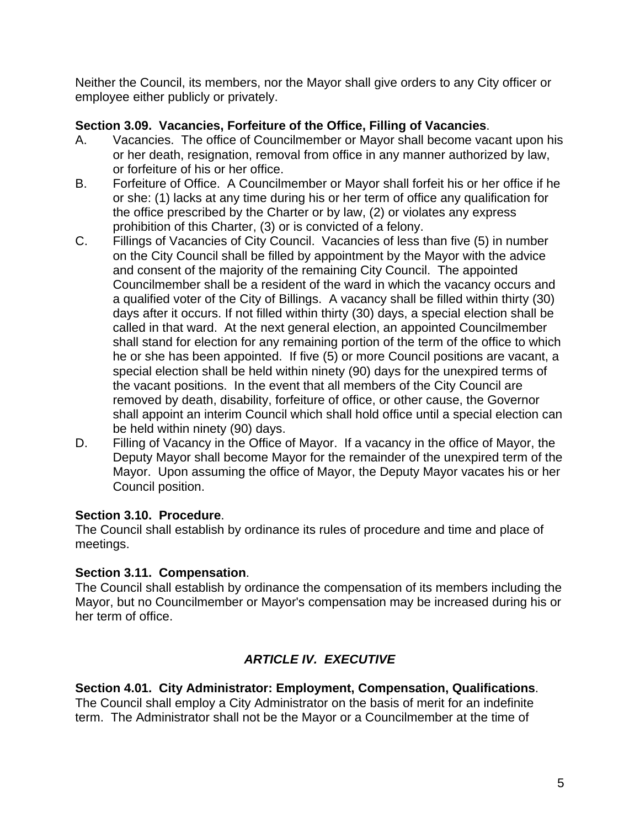Neither the Council, its members, nor the Mayor shall give orders to any City officer or employee either publicly or privately.

### **Section 3.09. Vacancies, Forfeiture of the Office, Filling of Vacancies**.

- A. Vacancies. The office of Councilmember or Mayor shall become vacant upon his or her death, resignation, removal from office in any manner authorized by law, or forfeiture of his or her office.
- B. Forfeiture of Office. A Councilmember or Mayor shall forfeit his or her office if he or she: (1) lacks at any time during his or her term of office any qualification for the office prescribed by the Charter or by law, (2) or violates any express prohibition of this Charter, (3) or is convicted of a felony.
- C. Fillings of Vacancies of City Council. Vacancies of less than five (5) in number on the City Council shall be filled by appointment by the Mayor with the advice and consent of the majority of the remaining City Council. The appointed Councilmember shall be a resident of the ward in which the vacancy occurs and a qualified voter of the City of Billings. A vacancy shall be filled within thirty (30) days after it occurs. If not filled within thirty (30) days, a special election shall be called in that ward. At the next general election, an appointed Councilmember shall stand for election for any remaining portion of the term of the office to which he or she has been appointed. If five (5) or more Council positions are vacant, a special election shall be held within ninety (90) days for the unexpired terms of the vacant positions. In the event that all members of the City Council are removed by death, disability, forfeiture of office, or other cause, the Governor shall appoint an interim Council which shall hold office until a special election can be held within ninety (90) days.
- D. Filling of Vacancy in the Office of Mayor. If a vacancy in the office of Mayor, the Deputy Mayor shall become Mayor for the remainder of the unexpired term of the Mayor. Upon assuming the office of Mayor, the Deputy Mayor vacates his or her Council position.

## **Section 3.10. Procedure**.

The Council shall establish by ordinance its rules of procedure and time and place of meetings.

## **Section 3.11. Compensation**.

The Council shall establish by ordinance the compensation of its members including the Mayor, but no Councilmember or Mayor's compensation may be increased during his or her term of office.

# *ARTICLE IV. EXECUTIVE*

**Section 4.01. City Administrator: Employment, Compensation, Qualifications**. The Council shall employ a City Administrator on the basis of merit for an indefinite term. The Administrator shall not be the Mayor or a Councilmember at the time of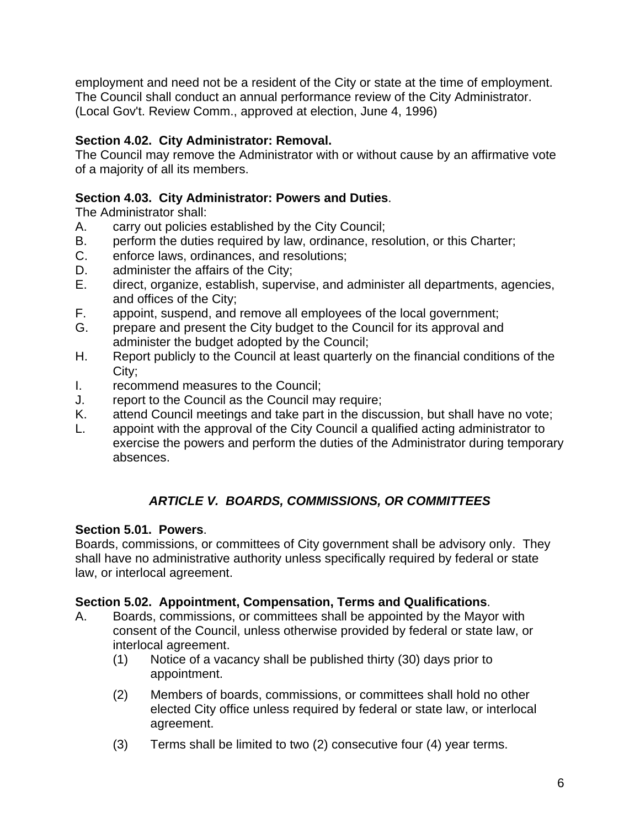employment and need not be a resident of the City or state at the time of employment. The Council shall conduct an annual performance review of the City Administrator. (Local Gov't. Review Comm., approved at election, June 4, 1996)

## **Section 4.02. City Administrator: Removal.**

The Council may remove the Administrator with or without cause by an affirmative vote of a majority of all its members.

## **Section 4.03. City Administrator: Powers and Duties**.

The Administrator shall:

- A. carry out policies established by the City Council;
- B. perform the duties required by law, ordinance, resolution, or this Charter;
- C. enforce laws, ordinances, and resolutions;
- D. administer the affairs of the City;
- E. direct, organize, establish, supervise, and administer all departments, agencies, and offices of the City;
- F. appoint, suspend, and remove all employees of the local government;
- G. prepare and present the City budget to the Council for its approval and administer the budget adopted by the Council;
- H. Report publicly to the Council at least quarterly on the financial conditions of the City;
- I. recommend measures to the Council;
- J. report to the Council as the Council may require;
- K. attend Council meetings and take part in the discussion, but shall have no vote;
- L. appoint with the approval of the City Council a qualified acting administrator to exercise the powers and perform the duties of the Administrator during temporary absences.

# *ARTICLE V. BOARDS, COMMISSIONS, OR COMMITTEES*

## **Section 5.01. Powers**.

Boards, commissions, or committees of City government shall be advisory only. They shall have no administrative authority unless specifically required by federal or state law, or interlocal agreement.

## **Section 5.02. Appointment, Compensation, Terms and Qualifications**.

- A. Boards, commissions, or committees shall be appointed by the Mayor with consent of the Council, unless otherwise provided by federal or state law, or interlocal agreement.
	- (1) Notice of a vacancy shall be published thirty (30) days prior to appointment.
	- (2) Members of boards, commissions, or committees shall hold no other elected City office unless required by federal or state law, or interlocal agreement.
	- (3) Terms shall be limited to two (2) consecutive four (4) year terms.